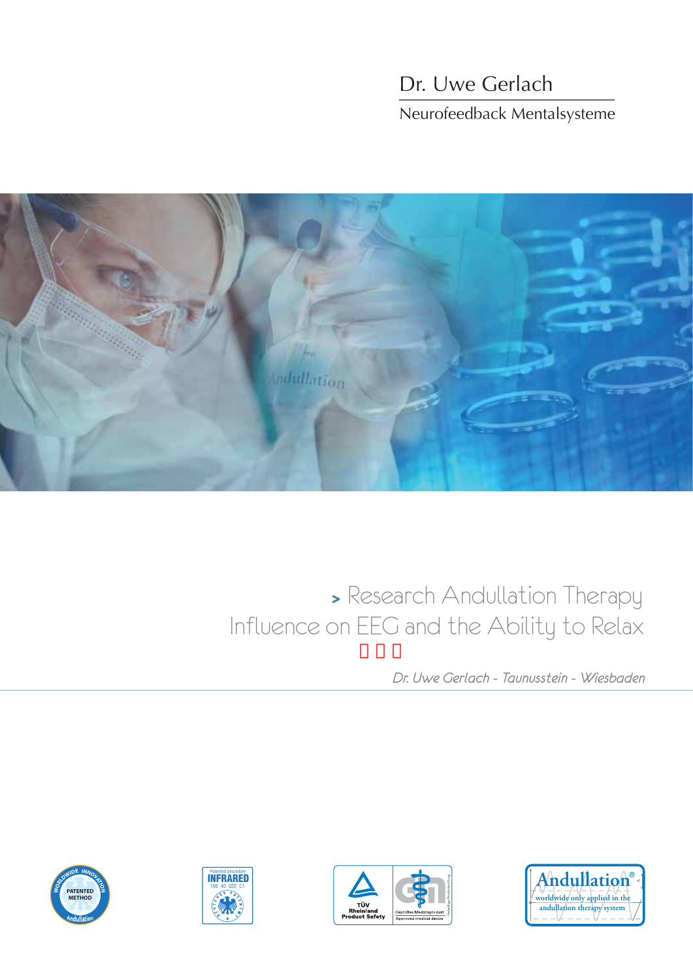## Dr. Uwe Gerlach Neurofeedback Mentalsysteme



## **<sup>&</sup>gt;**Research Andullation Therapy Influence on EEG and the Ability to Relax

*Dr. Uwe Gerlach - Taunusstein - Wiesbaden*







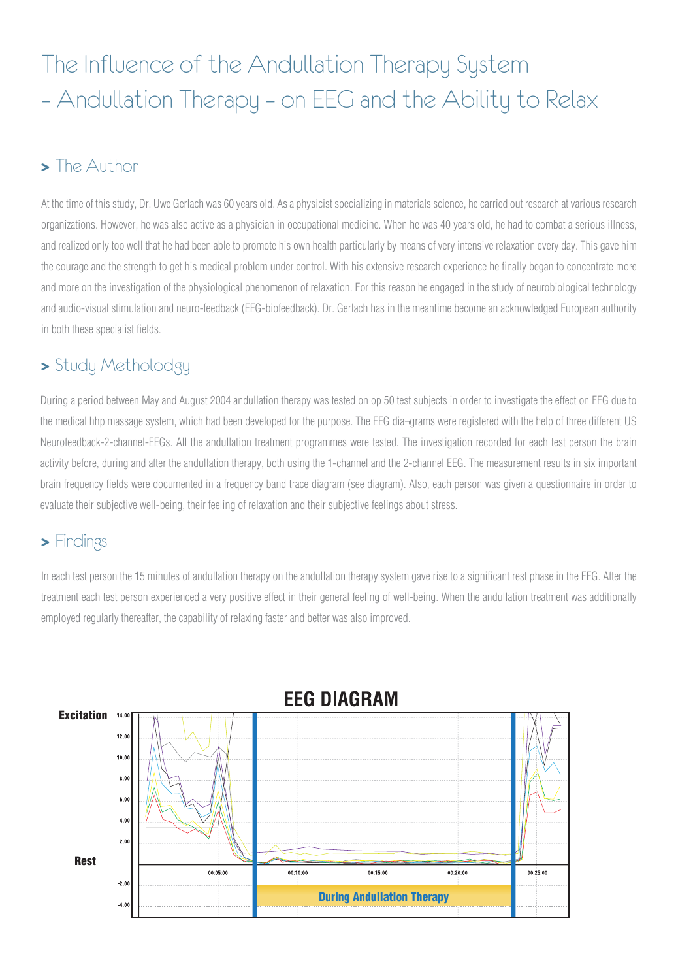# The Influence of the Andullation Therapy System – Andullation Therapy – on EEG and the Ability to Relax

### **>** The Author

- the courage and the strength to get his medical problem under control. With his extensive research experience he finally began to concentrate more At the time of this study, Dr. Uwe Gerlach was 60 years old. As a physicist specializing in materials science, he carried out research at various research organizations. However, he was also active as a physician in occupational medicine. When he was 40 years old, he had to combat a serious illness, and realized only too well that he had been able to promote his own health particularly by means of very intensive relaxation every day. This gave him and more on the investigation of the physiological phenomenon of relaxation. For this reason he engaged in the study of neurobiological technology and audio-visual stimulation and neuro-feedback (EEG-biofeedback). Dr. Gerlach has in the meantime become an acknowledged European authority in both these specialist fields.

## **>** Study Metholodgy

During a period between May and August 2004 andullation therapy was tested on op 50 test subjects in order to investigate the effect on EEG due to the medical hhp massage system, which had been developed for the purpose. The EEG dia¬grams were registered with the help of three different US Neurofeedback-2-channel-EEGs. All the andullation treatment programmes were tested. The investigation recorded for each test person the brain activity before, during and after the andullation therapy, both using the 1-channel and the 2-channel EEG. The measurement results in six important brain frequency fields were documented in a frequency band trace diagram (see diagram). Also, each person was given a questionnaire in order to evaluate their subjective well-being, their feeling of relaxation and their subjective feelings about stress.

### **>** Findings

. In each test person the 15 minutes of andullation therapy on the andullation therapy system gave rise to a significant rest phase in the EEG. After the treatment each test person experienced a very positive effect in their general feeling of well-being. When the andullation treatment was additionally employed regularly thereafter, the capability of relaxing faster and better was also improved.

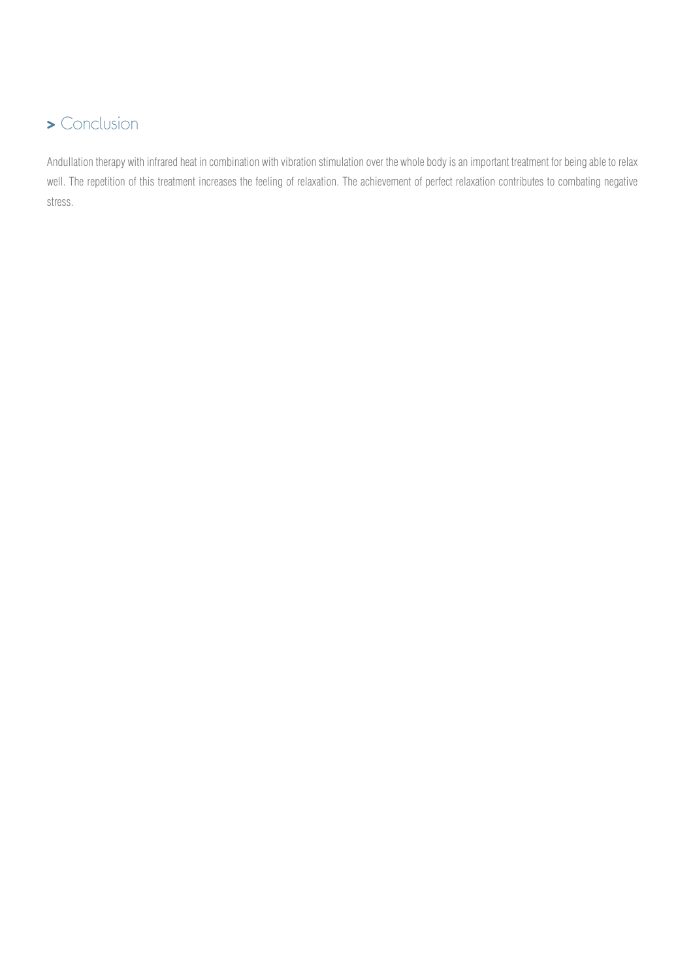## **>** Conclusion

Andullation therapy with infrared heat in combination with vibration stimulation over the whole body is an important treatment for being able to relax well. The repetition of this treatment increases the feeling of relaxation. The achievement of perfect relaxation contributes to combating negative stress.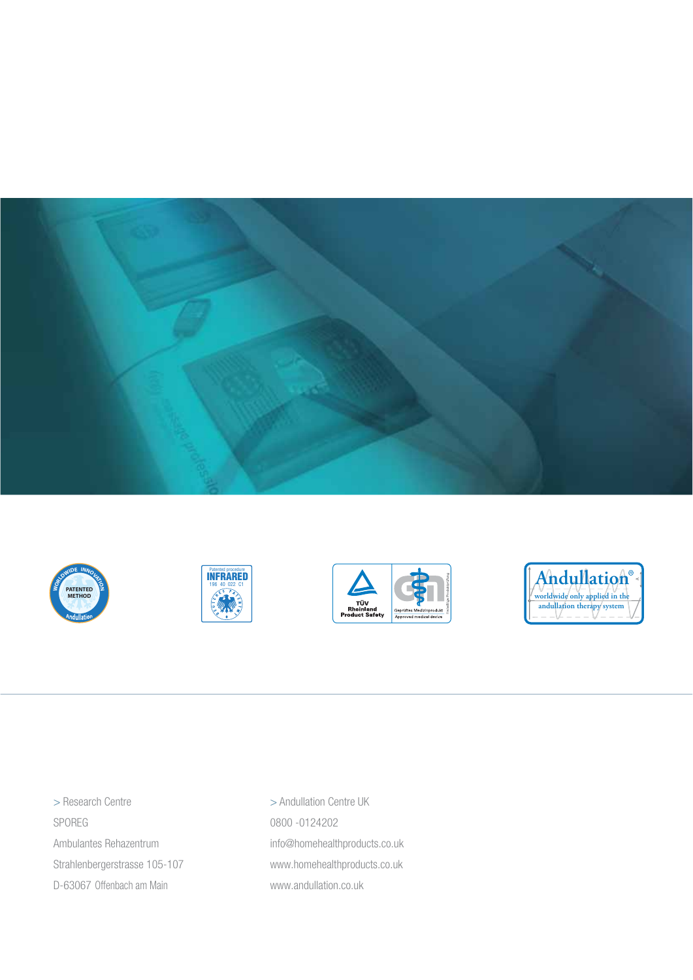









> Research Centre SPOREG Ambulantes Rehazentrum Strahlenbergerstrasse 105-107 D-63067 Offenbach am Main

> Andullation Centre UK 0800 -0124202 info@homehealthproducts.co.uk www.homehealthproducts.co.uk www.andullation.co.uk